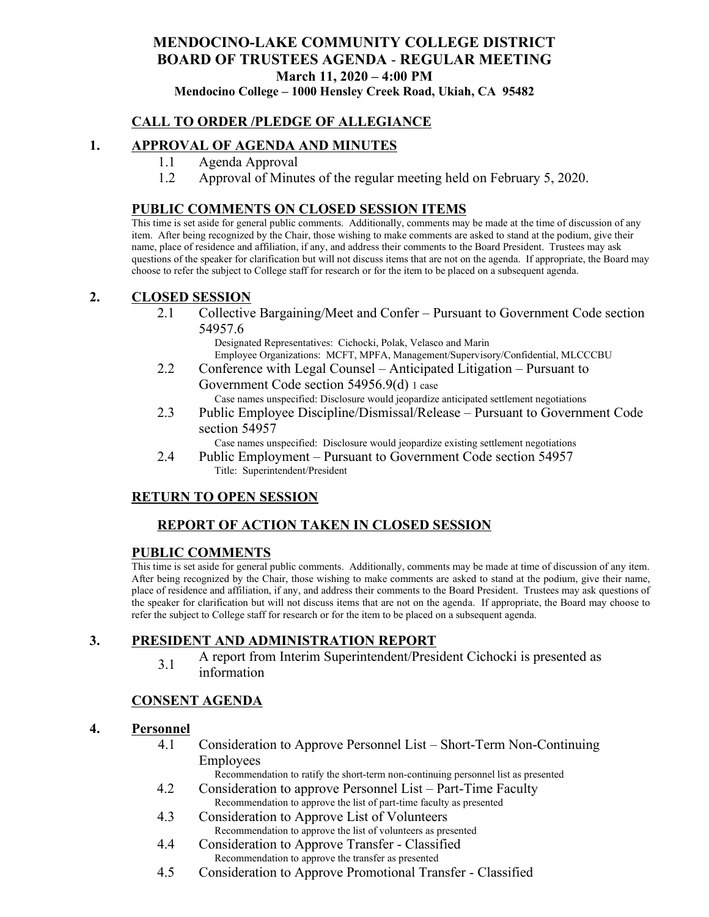# **MENDOCINO-LAKE COMMUNITY COLLEGE DISTRICT BOARD OF TRUSTEES AGENDA** - **REGULAR MEETING March 11, 2020 – 4:00 PM**

**Mendocino College – 1000 Hensley Creek Road, Ukiah, CA 95482**

### **CALL TO ORDER /PLEDGE OF ALLEGIANCE**

#### **1. APPROVAL OF AGENDA AND MINUTES**

- 1.1 Agenda Approval
- 1.2 Approval of Minutes of the regular meeting held on February 5, 2020.

#### **PUBLIC COMMENTS ON CLOSED SESSION ITEMS**

This time is set aside for general public comments. Additionally, comments may be made at the time of discussion of any item. After being recognized by the Chair, those wishing to make comments are asked to stand at the podium, give their name, place of residence and affiliation, if any, and address their comments to the Board President. Trustees may ask questions of the speaker for clarification but will not discuss items that are not on the agenda. If appropriate, the Board may choose to refer the subject to College staff for research or for the item to be placed on a subsequent agenda.

#### **2. CLOSED SESSION**

2.1 Collective Bargaining/Meet and Confer – Pursuant to Government Code section 54957.6

Designated Representatives: Cichocki, Polak, Velasco and Marin Employee Organizations: MCFT, MPFA, Management/Supervisory/Confidential, MLCCCBU

2.2 Conference with Legal Counsel – Anticipated Litigation – Pursuant to Government Code section 54956.9(d) 1 case

Case names unspecified: Disclosure would jeopardize anticipated settlement negotiations

2.3 Public Employee Discipline/Dismissal/Release – Pursuant to Government Code section 54957

Case names unspecified: Disclosure would jeopardize existing settlement negotiations

2.4 Public Employment – Pursuant to Government Code section 54957 Title: Superintendent/President

#### **RETURN TO OPEN SESSION**

### **REPORT OF ACTION TAKEN IN CLOSED SESSION**

#### **PUBLIC COMMENTS**

This time is set aside for general public comments. Additionally, comments may be made at time of discussion of any item. After being recognized by the Chair, those wishing to make comments are asked to stand at the podium, give their name, place of residence and affiliation, if any, and address their comments to the Board President. Trustees may ask questions of the speaker for clarification but will not discuss items that are not on the agenda. If appropriate, the Board may choose to refer the subject to College staff for research or for the item to be placed on a subsequent agenda.

#### **3. PRESIDENT AND ADMINISTRATION REPORT**

3.1 A report from Interim Superintendent/President Cichocki is presented as information

#### **CONSENT AGENDA**

#### **4. Personnel**

4.1 Consideration to Approve Personnel List – Short-Term Non-Continuing Employees

Recommendation to ratify the short-term non-continuing personnel list as presented

- 4.2 Consideration to approve Personnel List Part-Time Faculty Recommendation to approve the list of part-time faculty as presented
- 4.3 Consideration to Approve List of Volunteers Recommendation to approve the list of volunteers as presented
- 4.4 Consideration to Approve Transfer Classified Recommendation to approve the transfer as presented
- 4.5 Consideration to Approve Promotional Transfer Classified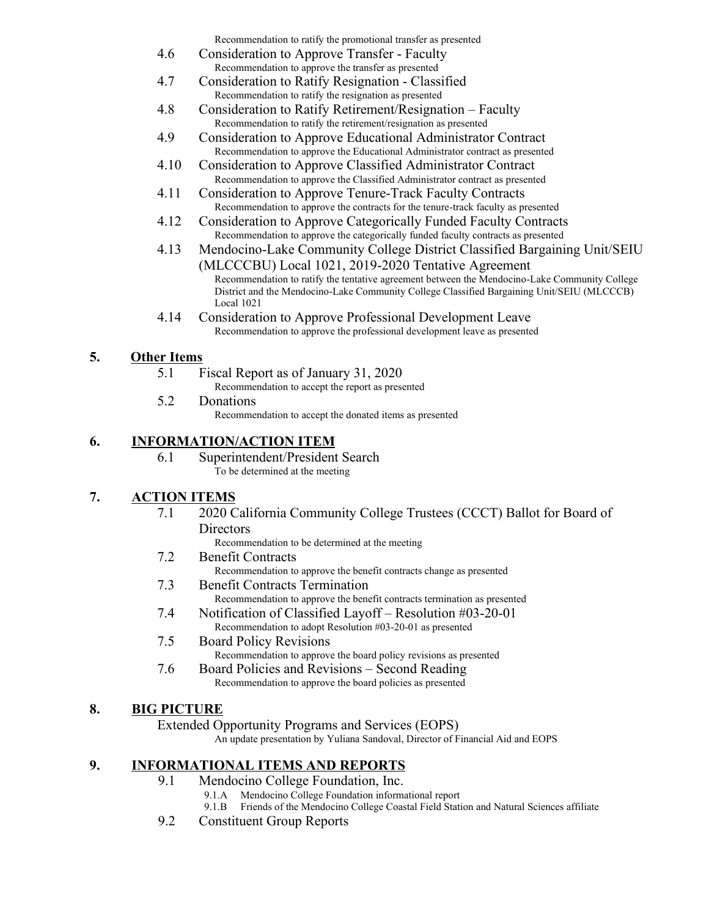Recommendation to ratify the promotional transfer as presented

- 4.6 Consideration to Approve Transfer Faculty Recommendation to approve the transfer as presented
- 4.7 Consideration to Ratify Resignation Classified Recommendation to ratify the resignation as presented
- 4.8 Consideration to Ratify Retirement/Resignation Faculty Recommendation to ratify the retirement/resignation as presented
- 4.9 Consideration to Approve Educational Administrator Contract Recommendation to approve the Educational Administrator contract as presented
- 4.10 Consideration to Approve Classified Administrator Contract Recommendation to approve the Classified Administrator contract as presented
- 4.11 Consideration to Approve Tenure-Track Faculty Contracts Recommendation to approve the contracts for the tenure-track faculty as presented
- 4.12 Consideration to Approve Categorically Funded Faculty Contracts Recommendation to approve the categorically funded faculty contracts as presented
- 4.13 Mendocino-Lake Community College District Classified Bargaining Unit/SEIU (MLCCCBU) Local 1021, 2019-2020 Tentative Agreement Recommendation to ratify the tentative agreement between the Mendocino-Lake Community College District and the Mendocino-Lake Community College Classified Bargaining Unit/SEIU (MLCCCB)
- 4.14 Consideration to Approve Professional Development Leave Recommendation to approve the professional development leave as presented

### **5. Other Items**

- 5.1 Fiscal Report as of January 31, 2020
	- Recommendation to accept the report as presented
- 5.2 Donations

Local 1021

Recommendation to accept the donated items as presented

### **6. INFORMATION/ACTION ITEM**

6.1 Superintendent/President Search To be determined at the meeting

### **7. ACTION ITEMS**

7.1 2020 California Community College Trustees (CCCT) Ballot for Board of **Directors** 

Recommendation to be determined at the meeting

7.2 Benefit Contracts

Recommendation to approve the benefit contracts change as presented

- 7.3 Benefit Contracts Termination
	- Recommendation to approve the benefit contracts termination as presented
- 7.4 Notification of Classified Layoff Resolution #03-20-01 Recommendation to adopt Resolution #03-20-01 as presented
- 7.5 Board Policy Revisions Recommendation to approve the board policy revisions as presented
- 7.6 Board Policies and Revisions Second Reading Recommendation to approve the board policies as presented

### **8. BIG PICTURE**

Extended Opportunity Programs and Services (EOPS)

An update presentation by Yuliana Sandoval, Director of Financial Aid and EOPS

## **9. INFORMATIONAL ITEMS AND REPORTS**

- 9.1 Mendocino College Foundation, Inc.
	- 9.1.A Mendocino College Foundation informational report
	- 9.1.B Friends of the Mendocino College Coastal Field Station and Natural Sciences affiliate
- 9.2 Constituent Group Reports